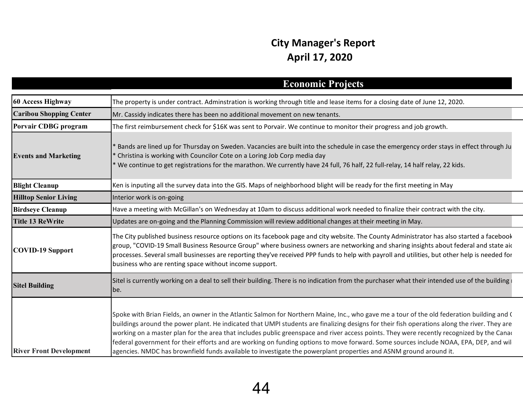## **City Manager's Report April 17, 2020**

|                                | <b>Economic Projects</b>                                                                                                                                                                                                                                                                                                                                                                                                                                                                                                                                                                                                                                                                               |
|--------------------------------|--------------------------------------------------------------------------------------------------------------------------------------------------------------------------------------------------------------------------------------------------------------------------------------------------------------------------------------------------------------------------------------------------------------------------------------------------------------------------------------------------------------------------------------------------------------------------------------------------------------------------------------------------------------------------------------------------------|
| 60 Access Highway              | The property is under contract. Adminstration is working through title and lease items for a closing date of June 12, 2020.                                                                                                                                                                                                                                                                                                                                                                                                                                                                                                                                                                            |
| <b>Caribou Shopping Center</b> | Mr. Cassidy indicates there has been no additional movement on new tenants.                                                                                                                                                                                                                                                                                                                                                                                                                                                                                                                                                                                                                            |
| Porvair CDBG program           | The first reimbursement check for \$16K was sent to Porvair. We continue to monitor their progress and job growth.                                                                                                                                                                                                                                                                                                                                                                                                                                                                                                                                                                                     |
| <b>Events and Marketing</b>    | Bands are lined up for Thursday on Sweden. Vacancies are built into the schedule in case the emergency order stays in effect through Ju<br>Christina is working with Councilor Cote on a Loring Job Corp media day<br>We continue to get registrations for the marathon. We currently have 24 full, 76 half, 22 full-relay, 14 half relay, 22 kids.                                                                                                                                                                                                                                                                                                                                                    |
| <b>Blight Cleanup</b>          | Ken is inputing all the survey data into the GIS. Maps of neighborhood blight will be ready for the first meeting in May                                                                                                                                                                                                                                                                                                                                                                                                                                                                                                                                                                               |
| <b>Hilltop Senior Living</b>   | Interior work is on-going                                                                                                                                                                                                                                                                                                                                                                                                                                                                                                                                                                                                                                                                              |
| <b>Birdseye Cleanup</b>        | Have a meeting with McGillan's on Wednesday at 10am to discuss additional work needed to finalize their contract with the city.                                                                                                                                                                                                                                                                                                                                                                                                                                                                                                                                                                        |
| <b>Title 13 ReWrite</b>        | Updates are on-going and the Planning Commission will review additional changes at their meeting in May.                                                                                                                                                                                                                                                                                                                                                                                                                                                                                                                                                                                               |
| COVID-19 Support               | The City published business resource options on its facebook page and city website. The County Administrator has also started a facebook<br>group, "COVID-19 Small Business Resource Group" where business owners are networking and sharing insights about federal and state aic<br>processes. Several small businesses are reporting they've received PPP funds to help with payroll and utilities, but other help is needed for<br>business who are renting space without income support.                                                                                                                                                                                                           |
| <b>Sitel Building</b>          | Sitel is currently working on a deal to sell their building. There is no indication from the purchaser what their intended use of the building i<br>be.                                                                                                                                                                                                                                                                                                                                                                                                                                                                                                                                                |
| <b>River Front Development</b> | Spoke with Brian Fields, an owner in the Atlantic Salmon for Northern Maine, Inc., who gave me a tour of the old federation building and (<br>buildings around the power plant. He indicated that UMPI students are finalizing designs for their fish operations along the river. They are<br>working on a master plan for the area that includes public greenspace and river access points. They were recently recognized by the Canac<br>federal government for their efforts and are working on funding options to move forward. Some sources include NOAA, EPA, DEP, and will<br>agencies. NMDC has brownfield funds available to investigate the powerplant properties and ASNM ground around it. |